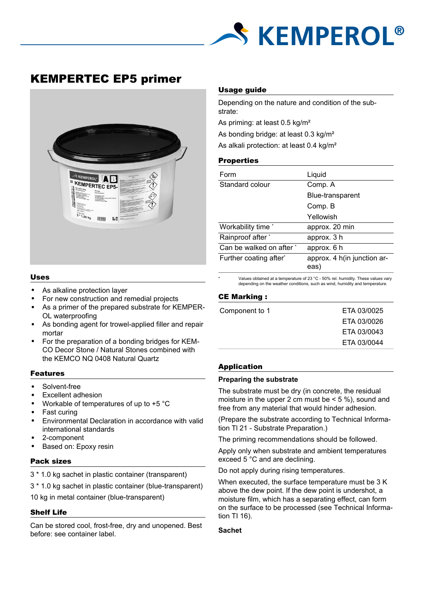

# KEMPERTEC EP5 primer



#### Uses

- As alkaline protection layer
- For new construction and remedial projects
- As a primer of the prepared substrate for KEMPER-OL waterproofing
- As bonding agent for trowel-applied filler and repair mortar
- For the preparation of a bonding bridges for KEM-CO Decor Stone / Natural Stones combined with the KEMCO NQ 0408 Natural Quartz

#### Features

- Solvent-free
- Excellent adhesion
- Workable of temperatures of up to +5 °C
- Fast curing
- Environmental Declaration in accordance with valid international standards
- 2-component
- Based on: Epoxy resin

#### Pack sizes

3 \* 1.0 kg sachet in plastic container (transparent)

3 \* 1.0 kg sachet in plastic container (blue-transparent)

10 kg in metal container (blue-transparent)

# Shelf Life

Can be stored cool, frost-free, dry and unopened. Best before: see container label.

#### Usage guide

Depending on the nature and condition of the substrate:

As priming: at least 0.5 kg/m²

As bonding bridge: at least 0.3 kg/m²

As alkali protection: at least 0.4 kg/m²

# **Properties**

| Form                     | Liquid                              |  |
|--------------------------|-------------------------------------|--|
| Standard colour          | Comp. A                             |  |
|                          | Blue-transparent                    |  |
|                          | Comp. B                             |  |
|                          | Yellowish                           |  |
| Workability time *       | approx. 20 min                      |  |
| Rainproof after *        | approx. 3 h                         |  |
| Can be walked on after * | approx. 6 h                         |  |
| Further coating after*   | approx. 4 h(in junction ar-<br>eas) |  |

\* Values obtained at a temperature of 23 °C - 50% rel. humidity. These values vary depending on the weather conditions, such as wind, humidity and temperature.

# CE Marking :

| Component to 1 | ETA 03/0025 |
|----------------|-------------|
|                | ETA 03/0026 |
|                | ETA 03/0043 |
|                | ETA 03/0044 |
|                |             |

#### Application

#### **Preparing the substrate**

The substrate must be dry (in concrete, the residual moisture in the upper 2 cm must be  $<$  5 %), sound and free from any material that would hinder adhesion.

(Prepare the substrate according to Technical Information Tl 21 - Substrate Preparation.)

The priming recommendations should be followed.

Apply only when substrate and ambient temperatures exceed 5 °C and are declining.

Do not apply during rising temperatures.

When executed, the surface temperature must be 3 K above the dew point. If the dew point is undershot, a moisture film, which has a separating effect, can form on the surface to be processed (see Technical Information TI 16).

#### **Sachet**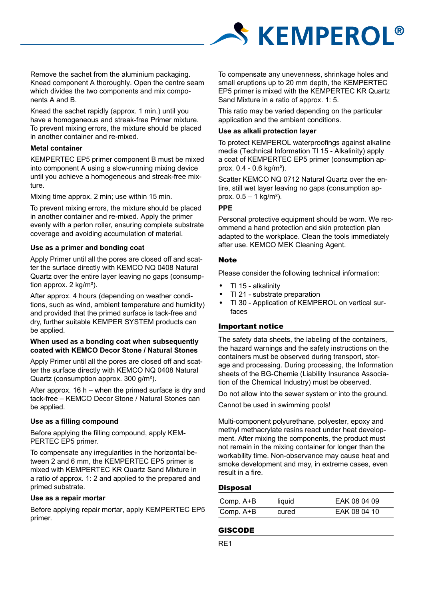

Remove the sachet from the aluminium packaging. Knead component A thoroughly. Open the centre seam which divides the two components and mix components A and B.

Knead the sachet rapidly (approx. 1 min.) until you have a homogeneous and streak-free Primer mixture. To prevent mixing errors, the mixture should be placed in another container and re-mixed.

# **Metal container**

KEMPERTEC EP5 primer component B must be mixed into component A using a slow-running mixing device until you achieve a homogeneous and streak-free mixture.

Mixing time approx. 2 min; use within 15 min.

To prevent mixing errors, the mixture should be placed in another container and re-mixed. Apply the primer evenly with a perlon roller, ensuring complete substrate coverage and avoiding accumulation of material.

# **Use as a primer and bonding coat**

Apply Primer until all the pores are closed off and scatter the surface directly with KEMCO NQ 0408 Natural Quartz over the entire layer leaving no gaps (consumption approx. 2 kg/m²).

After approx. 4 hours (depending on weather conditions, such as wind, ambient temperature and humidity) and provided that the primed surface is tack-free and dry, further suitable KEMPER SYSTEM products can be applied.

#### **When used as a bonding coat when subsequently coated with KEMCO Decor Stone / Natural Stones**

Apply Primer until all the pores are closed off and scatter the surface directly with KEMCO NQ 0408 Natural Quartz (consumption approx. 300 g/m²).

After approx. 16 h – when the primed surface is dry and tack-free – KEMCO Decor Stone / Natural Stones can be applied.

# **Use as a filling compound**

Before applying the filling compound, apply KEM-PERTEC EP5 primer.

To compensate any irregularities in the horizontal between 2 and 6 mm, the KEMPERTEC EP5 primer is mixed with KEMPERTEC KR Quartz Sand Mixture in a ratio of approx. 1: 2 and applied to the prepared and primed substrate.

#### **Use as a repair mortar**

Before applying repair mortar, apply KEMPERTEC EP5 primer.

To compensate any unevenness, shrinkage holes and small eruptions up to 20 mm depth, the KEMPERTEC EP5 primer is mixed with the KEMPERTEC KR Quartz Sand Mixture in a ratio of approx. 1: 5.

This ratio may be varied depending on the particular application and the ambient conditions.

#### **Use as alkali protection layer**

To protect KEMPEROL waterproofings against alkaline media (Technical Information TI 15 - Alkalinity) apply a coat of KEMPERTEC EP5 primer (consumption approx. 0.4 - 0.6 kg/m²).

Scatter KEMCO NQ 0712 Natural Quartz over the entire, still wet layer leaving no gaps (consumption approx.  $0.5 - 1$  kg/m<sup>2</sup>).

# **PPE**

Personal protective equipment should be worn. We recommend a hand protection and skin protection plan adapted to the workplace. Clean the tools immediately after use. KEMCO MEK Cleaning Agent.

# **Note**

Please consider the following technical information:

- TI 15 alkalinity
- TI 21 substrate preparation
- TI 30 Application of KEMPEROL on vertical surfaces

# Important notice

The safety data sheets, the labeling of the containers, the hazard warnings and the safety instructions on the containers must be observed during transport, storage and processing. During processing, the Information sheets of the BG-Chemie (Liability Insurance Association of the Chemical Industry) must be observed.

Do not allow into the sewer system or into the ground.

Cannot be used in swimming pools!

Multi-component polyurethane, polyester, epoxy and methyl methacrylate resins react under heat development. After mixing the components, the product must not remain in the mixing container for longer than the workability time. Non-observance may cause heat and smoke development and may, in extreme cases, even result in a fire.

# **Disposal**

| Comp. A+B | liquid | EAK 08 04 09 |
|-----------|--------|--------------|
| Comp. A+B | cured  | EAK 08 04 10 |

# GISCODE

RE1